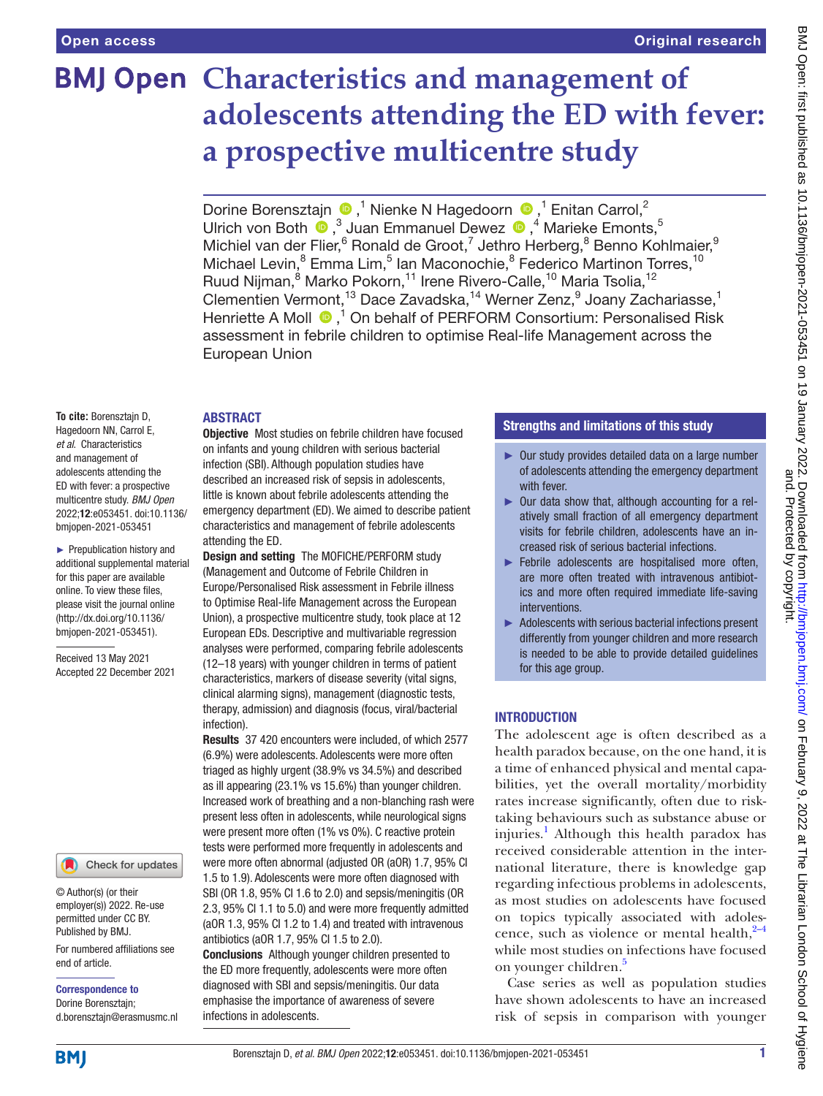# **BMJ Open Characteristics and management of adolescents attending the ED with fever: a prospective multicentre study**

DorineBorensztajn  $\bigcirc$ ,<sup>1</sup> Nienke N Hagedoorn  $\bigcirc$ ,<sup>1</sup> Enitan Carrol,<sup>2</sup> Ulrich von Both  $\bigcirc$ ,<sup>3</sup> Juan Emmanuel Dewez  $\bigcirc$ ,<sup>4</sup> Marieke Emonts,<sup>5</sup> Michiel van der Flier, <sup>6</sup> Ronald de Groot, 7 Jethro Herberg, <sup>8</sup> Benno Kohlmaier, <sup>9</sup> Michael Levin,<sup>8</sup> Emma Lim,<sup>5</sup> Ian Maconochie,<sup>8</sup> Federico Martinon Torres,<sup>10</sup> Ruud Nijman,<sup>8</sup> Marko Pokorn,<sup>11</sup> Irene Rivero-Calle,<sup>10</sup> Maria Tsolia,<sup>12</sup> Clementien Vermont,<sup>13</sup> Dace Zavadska,<sup>14</sup> Werner Zenz,<sup>9</sup> Joany Zachariasse,<sup>1</sup> Henriette A Moll  $\bullet$ ,<sup>1</sup> On behalf of PERFORM Consortium: Personalised Risk assessment in febrile children to optimise Real-life Management across the European Union

#### ABSTRACT

**To cite:** Borensztajn D, Hagedoorn NN, Carrol E, *et al*. Characteristics and management of adolescents attending the ED with fever: a prospective multicentre study. *BMJ Open* 2022;12:e053451. doi:10.1136/ bmjopen-2021-053451

► Prepublication history and additional supplemental material for this paper are available online. To view these files, please visit the journal online [\(http://dx.doi.org/10.1136/](http://dx.doi.org/10.1136/bmjopen-2021-053451) [bmjopen-2021-053451](http://dx.doi.org/10.1136/bmjopen-2021-053451)).

Received 13 May 2021 Accepted 22 December 2021

### Check for updates

© Author(s) (or their employer(s)) 2022. Re-use permitted under CC BY. Published by BMJ.

For numbered affiliations see end of article.

Correspondence to Dorine Borensztajn; d.borensztajn@erasmusmc.nl **Objective** Most studies on febrile children have focused on infants and young children with serious bacterial infection (SBI). Although population studies have described an increased risk of sepsis in adolescents, little is known about febrile adolescents attending the emergency department (ED). We aimed to describe patient characteristics and management of febrile adolescents attending the ED.

Design and setting The MOFICHE/PERFORM study (Management and Outcome of Febrile Children in Europe/Personalised Risk assessment in Febrile illness to Optimise Real-life Management across the European Union), a prospective multicentre study, took place at 12 European EDs. Descriptive and multivariable regression analyses were performed, comparing febrile adolescents (12–18 years) with younger children in terms of patient characteristics, markers of disease severity (vital signs, clinical alarming signs), management (diagnostic tests, therapy, admission) and diagnosis (focus, viral/bacterial infection).

Results 37 420 encounters were included, of which 2577 (6.9%) were adolescents. Adolescents were more often triaged as highly urgent (38.9% vs 34.5%) and described as ill appearing (23.1% vs 15.6%) than younger children. Increased work of breathing and a non-blanching rash were present less often in adolescents, while neurological signs were present more often (1% vs 0%). C reactive protein tests were performed more frequently in adolescents and were more often abnormal (adjusted OR (aOR) 1.7, 95% CI 1.5 to 1.9). Adolescents were more often diagnosed with SBI (OR 1.8, 95% CI 1.6 to 2.0) and sepsis/meningitis (OR 2.3, 95% CI 1.1 to 5.0) and were more frequently admitted (aOR 1.3, 95% CI 1.2 to 1.4) and treated with intravenous antibiotics (aOR 1.7, 95% CI 1.5 to 2.0).

Conclusions Although younger children presented to the ED more frequently, adolescents were more often diagnosed with SBI and sepsis/meningitis. Our data emphasise the importance of awareness of severe infections in adolescents.

# Strengths and limitations of this study

- ► Our study provides detailed data on a large number of adolescents attending the emergency department with fever.
- ► Our data show that, although accounting for a relatively small fraction of all emergency department visits for febrile children, adolescents have an increased risk of serious bacterial infections.
- ► Febrile adolescents are hospitalised more often, are more often treated with intravenous antibiotics and more often required immediate life-saving interventions.
- ► Adolescents with serious bacterial infections present differently from younger children and more research is needed to be able to provide detailed guidelines for this age group.

# **INTRODUCTION**

The adolescent age is often described as a health paradox because, on the one hand, it is a time of enhanced physical and mental capabilities, yet the overall mortality/morbidity rates increase significantly, often due to risktaking behaviours such as substance abuse or injuries.<sup>[1](#page-7-0)</sup> Although this health paradox has received considerable attention in the international literature, there is knowledge gap regarding infectious problems in adolescents, as most studies on adolescents have focused on topics typically associated with adolescence, such as violence or mental health, $2-4$ while most studies on infections have focused on younger children.<sup>[5](#page-7-2)</sup>

Case series as well as population studies have shown adolescents to have an increased risk of sepsis in comparison with younger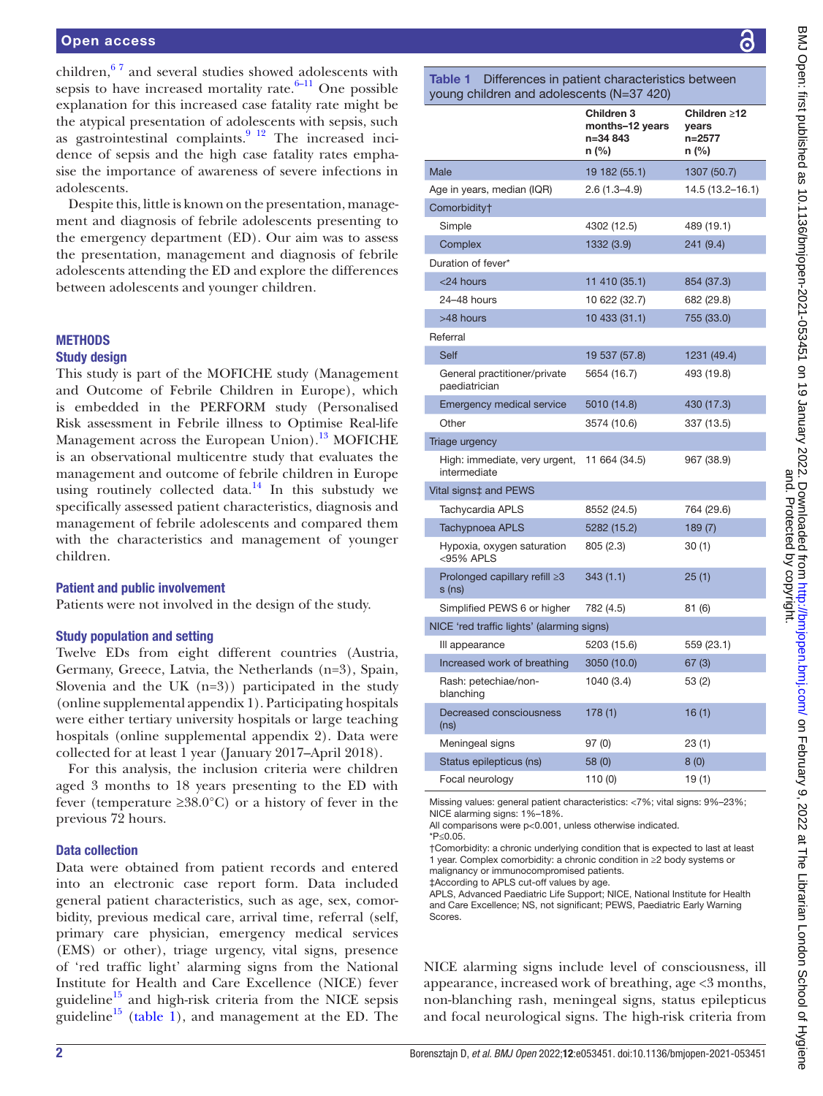children, $67$  and several studies showed adolescents with sepsis to have increased mortality rate. $6-11$  One possible explanation for this increased case fatality rate might be the atypical presentation of adolescents with sepsis, such as gastrointestinal complaints. $9^{12}$  The increased incidence of sepsis and the high case fatality rates emphasise the importance of awareness of severe infections in adolescents.

Despite this, little is known on the presentation, management and diagnosis of febrile adolescents presenting to the emergency department (ED). Our aim was to assess the presentation, management and diagnosis of febrile adolescents attending the ED and explore the differences between adolescents and younger children.

#### **METHODS** Study design

This study is part of the MOFICHE study (Management and Outcome of Febrile Children in Europe), which is embedded in the PERFORM study (Personalised Risk assessment in Febrile illness to Optimise Real-life Management across the European Union).<sup>13</sup> MOFICHE is an observational multicentre study that evaluates the management and outcome of febrile children in Europe using routinely collected data.<sup>14</sup> In this substudy we specifically assessed patient characteristics, diagnosis and management of febrile adolescents and compared them with the characteristics and management of younger children.

#### Patient and public involvement

Patients were not involved in the design of the study.

#### Study population and setting

Twelve EDs from eight different countries (Austria, Germany, Greece, Latvia, the Netherlands (n=3), Spain, Slovenia and the UK  $(n=3)$  participated in the study ([online supplemental appendix 1\)](https://dx.doi.org/10.1136/bmjopen-2021-053451). Participating hospitals were either tertiary university hospitals or large teaching hospitals [\(online supplemental appendix 2\)](https://dx.doi.org/10.1136/bmjopen-2021-053451). Data were collected for at least 1 year (January 2017–April 2018).

For this analysis, the inclusion criteria were children aged 3 months to 18 years presenting to the ED with fever (temperature  $\geq 38.0^{\circ}$ C) or a history of fever in the previous 72 hours.

#### Data collection

Data were obtained from patient records and entered into an electronic case report form. Data included general patient characteristics, such as age, sex, comorbidity, previous medical care, arrival time, referral (self, primary care physician, emergency medical services (EMS) or other), triage urgency, vital signs, presence of 'red traffic light' alarming signs from the National Institute for Health and Care Excellence (NICE) fever guideline<sup>15</sup> and high-risk criteria from the NICE sepsis guideline<sup>15</sup> ([table](#page-1-0) 1), and management at the ED. The

<span id="page-1-0"></span>Table 1 Differences in patient characteristics between young children and adolescents (N=37 420)

|                                               | Children 3<br>months-12 years<br>n=34 843<br>n (%) | Children ≥12<br>years<br>$n = 2577$<br>n (%) |  |
|-----------------------------------------------|----------------------------------------------------|----------------------------------------------|--|
| Male                                          | 19 182 (55.1)                                      | 1307 (50.7)                                  |  |
| Age in years, median (IQR)                    | $2.6(1.3 - 4.9)$                                   | 14.5 (13.2-16.1)                             |  |
| Comorbidity†                                  |                                                    |                                              |  |
| Simple                                        | 4302 (12.5)                                        | 489 (19.1)                                   |  |
| Complex                                       | 1332 (3.9)                                         | 241 (9.4)                                    |  |
| Duration of fever*                            |                                                    |                                              |  |
| <24 hours                                     | 11 410 (35.1)                                      | 854 (37.3)                                   |  |
| 24-48 hours                                   | 10 622 (32.7)                                      | 682 (29.8)                                   |  |
| >48 hours                                     | 10 433 (31.1)                                      | 755 (33.0)                                   |  |
| Referral                                      |                                                    |                                              |  |
| Self                                          | 19 537 (57.8)                                      | 1231 (49.4)                                  |  |
| General practitioner/private<br>paediatrician | 5654 (16.7)                                        | 493 (19.8)                                   |  |
| <b>Emergency medical service</b>              | 5010 (14.8)                                        | 430 (17.3)                                   |  |
| Other                                         | 3574 (10.6)                                        | 337 (13.5)                                   |  |
| Triage urgency                                |                                                    |                                              |  |
| High: immediate, very urgent,<br>intermediate | 11 664 (34.5)                                      | 967 (38.9)                                   |  |
| Vital signs‡ and PEWS                         |                                                    |                                              |  |
| Tachycardia APLS                              | 8552 (24.5)                                        | 764 (29.6)                                   |  |
| <b>Tachypnoea APLS</b>                        | 5282 (15.2)                                        | 189(7)                                       |  |
| Hypoxia, oxygen saturation<br><95% APLS       | 805 (2.3)                                          | 30(1)                                        |  |
| Prolonged capillary refill ≥3<br>$s$ (ns)     | 343(1.1)                                           | 25(1)                                        |  |
| Simplified PEWS 6 or higher                   | 782 (4.5)                                          | 81 (6)                                       |  |
| NICE 'red traffic lights' (alarming signs)    |                                                    |                                              |  |
| III appearance                                | 5203 (15.6)                                        | 559 (23.1)                                   |  |
| Increased work of breathing                   | 3050 (10.0)                                        | 67(3)                                        |  |
| Rash: petechiae/non-<br>blanching             | 1040 (3.4)                                         | 53 (2)                                       |  |
| Decreased consciousness<br>(ns)               | 178(1)                                             | 16(1)                                        |  |
| Meningeal signs                               | 97(0)                                              | 23 (1)                                       |  |
| Status epilepticus (ns)                       | 58 (0)                                             | 8(0)                                         |  |
| Focal neurology                               | 110 (0)                                            | 19(1)                                        |  |

Missing values: general patient characteristics: <7%; vital signs: 9%–23%; NICE alarming signs: 1%–18%.

All comparisons were p<0.001, unless otherwise indicated.

\*P≤0.05.

†Comorbidity: a chronic underlying condition that is expected to last at least 1 year. Complex comorbidity: a chronic condition in ≥2 body systems or malignancy or immunocompromised patients.

‡According to APLS cut-off values by age.

APLS, Advanced Paediatric Life Support; NICE, National Institute for Health and Care Excellence; NS, not significant; PEWS, Paediatric Early Warning Scores.

NICE alarming signs include level of consciousness, ill appearance, increased work of breathing, age <3 months, non-blanching rash, meningeal signs, status epilepticus and focal neurological signs. The high-risk criteria from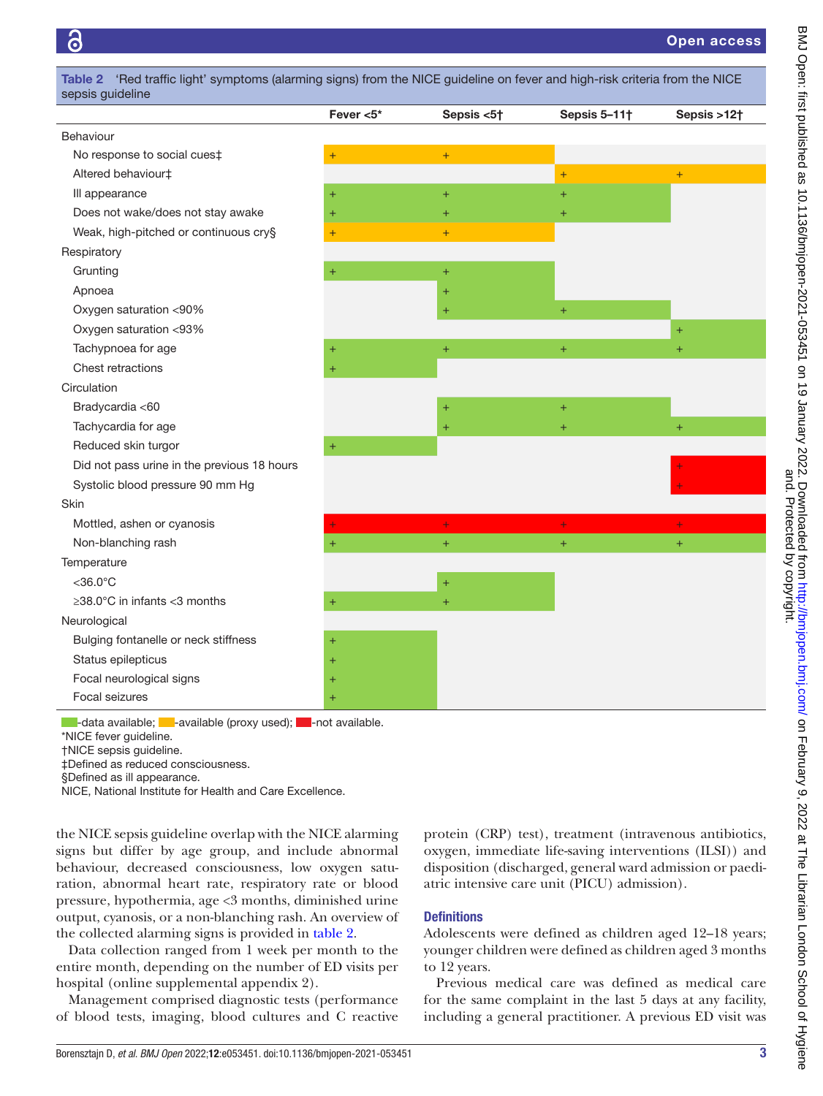<span id="page-2-0"></span>

|                                             | Fever $<$ 5 $*$  | Sepsis <5† | Sepsis 5-11† | Sepsis >12† |
|---------------------------------------------|------------------|------------|--------------|-------------|
| Behaviour                                   |                  |            |              |             |
| No response to social cues‡                 | $^{+}$           | $\ddot{}$  |              |             |
| Altered behaviour‡                          |                  |            | $\ddot{}$    | $+$         |
| III appearance                              | $\ddot{}$        | $\ddot{}$  | $+$          |             |
| Does not wake/does not stay awake           | $\ddot{}$        | $\ddot{}$  | $\ddot{}$    |             |
| Weak, high-pitched or continuous cry§       | $\ddot{}$        | $+$        |              |             |
| Respiratory                                 |                  |            |              |             |
| Grunting                                    | $\ddot{}$        | $\ddot{}$  |              |             |
| Apnoea                                      |                  | $\ddot{}$  |              |             |
| Oxygen saturation <90%                      |                  | $\ddot{}$  | $\ddot{}$    |             |
| Oxygen saturation <93%                      |                  |            |              | $\ddot{}$   |
| Tachypnoea for age                          | $\ddot{}$        | $+$        | $\ddot{}$    | Ŧ           |
| Chest retractions                           | $\ddot{}$        |            |              |             |
| Circulation                                 |                  |            |              |             |
| Bradycardia <60                             |                  | $\pm$      | $\ddot{}$    |             |
| Tachycardia for age                         |                  | $\ddot{}$  | $\ddot{}$    | $\ddot{}$   |
| Reduced skin turgor                         | $^{+}$           |            |              |             |
| Did not pass urine in the previous 18 hours |                  |            |              |             |
| Systolic blood pressure 90 mm Hg            |                  |            |              |             |
| Skin                                        |                  |            |              |             |
| Mottled, ashen or cyanosis                  | ÷                | $+$        | ÷            | ÷           |
| Non-blanching rash                          | $+$              | $+$        | $+$          | $+$         |
| Temperature                                 |                  |            |              |             |
| $<$ 36.0 $^{\circ}$ C                       |                  | $\ddot{}$  |              |             |
| $\geq$ 38.0°C in infants < 3 months         | $\ddot{}$        | $+$        |              |             |
| Neurological                                |                  |            |              |             |
| Bulging fontanelle or neck stiffness        | $^{+}$           |            |              |             |
| Status epilepticus                          | $\ddot{}$        |            |              |             |
| Focal neurological signs                    | $\boldsymbol{+}$ |            |              |             |
| Focal seizures                              | $\ddot{}$        |            |              |             |

‡Defined as reduced consciousness.

§Defined as ill appearance.

NICE, National Institute for Health and Care Excellence.

the NICE sepsis guideline overlap with the NICE alarming signs but differ by age group, and include abnormal behaviour, decreased consciousness, low oxygen saturation, abnormal heart rate, respiratory rate or blood pressure, hypothermia, age <3 months, diminished urine output, cyanosis, or a non-blanching rash. An overview of the collected alarming signs is provided in [table](#page-2-0) 2.

Data collection ranged from 1 week per month to the entire month, depending on the number of ED visits per hospital [\(online supplemental appendix 2\)](https://dx.doi.org/10.1136/bmjopen-2021-053451).

Management comprised diagnostic tests (performance of blood tests, imaging, blood cultures and C reactive

protein (CRP) test), treatment (intravenous antibiotics, oxygen, immediate life-saving interventions (ILSI)) and disposition (discharged, general ward admission or paediatric intensive care unit (PICU) admission).

#### **Definitions**

Adolescents were defined as children aged 12–18 years; younger children were defined as children aged 3 months to 12 years.

Previous medical care was defined as medical care for the same complaint in the last 5 days at any facility, including a general practitioner. A previous ED visit was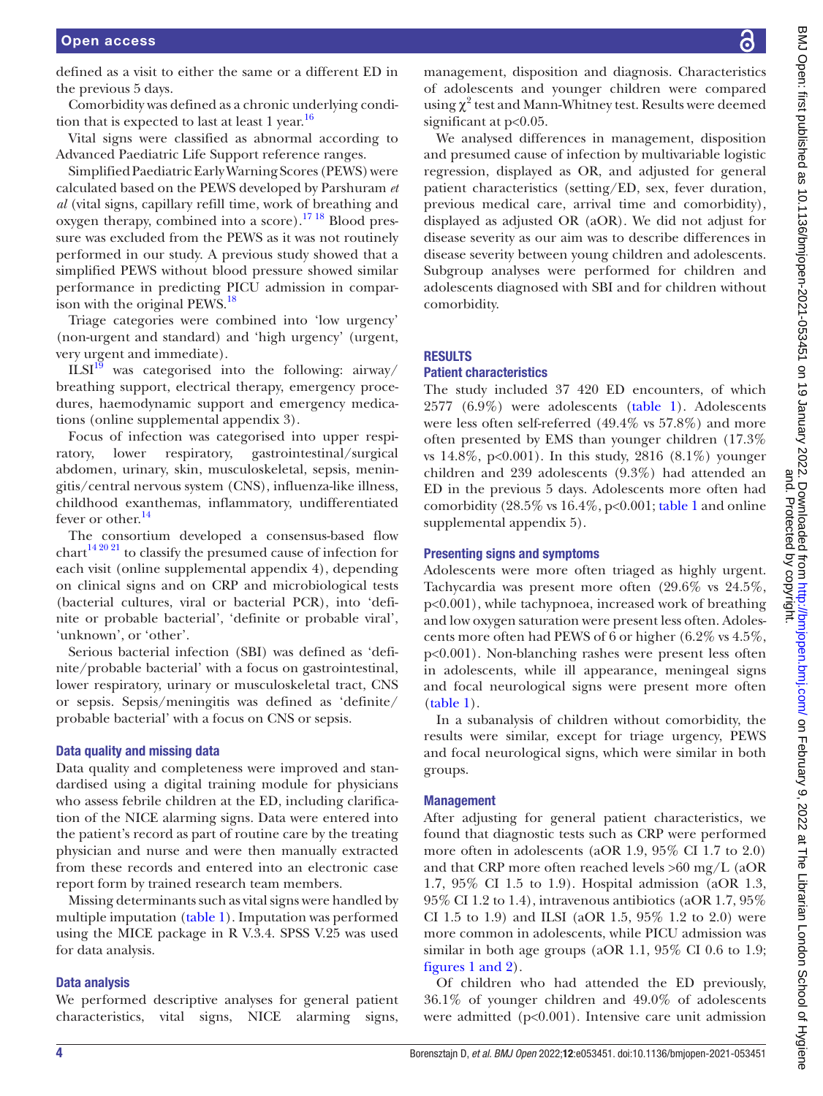defined as a visit to either the same or a different ED in the previous 5 days.

Comorbidity was defined as a chronic underlying condi-tion that is expected to last at least 1 year.<sup>[16](#page-7-8)</sup>

Vital signs were classified as abnormal according to Advanced Paediatric Life Support reference ranges.

Simplified Paediatric Early Warning Scores (PEWS) were calculated based on the PEWS developed by Parshuram *et al* (vital signs, capillary refill time, work of breathing and oxygen therapy, combined into a score).<sup>17 18</sup> Blood pressure was excluded from the PEWS as it was not routinely performed in our study. A previous study showed that a simplified PEWS without blood pressure showed similar performance in predicting PICU admission in comparison with the original  $PEWS.<sup>18</sup>$  $PEWS.<sup>18</sup>$  $PEWS.<sup>18</sup>$ 

Triage categories were combined into 'low urgency' (non-urgent and standard) and 'high urgency' (urgent, very urgent and immediate).

 $ILSI<sup>19</sup>$  was categorised into the following: airway/ breathing support, electrical therapy, emergency procedures, haemodynamic support and emergency medications ([online supplemental appendix 3](https://dx.doi.org/10.1136/bmjopen-2021-053451)).

Focus of infection was categorised into upper respiratory, lower respiratory, gastrointestinal/surgical abdomen, urinary, skin, musculoskeletal, sepsis, meningitis/central nervous system (CNS), influenza-like illness, childhood exanthemas, inflammatory, undifferentiated fever or other.<sup>14</sup>

The consortium developed a consensus-based flow  $chart^{14\,20\,21}$  to classify the presumed cause of infection for each visit ([online supplemental appendix 4\)](https://dx.doi.org/10.1136/bmjopen-2021-053451), depending on clinical signs and on CRP and microbiological tests (bacterial cultures, viral or bacterial PCR), into 'definite or probable bacterial', 'definite or probable viral', 'unknown', or 'other'.

Serious bacterial infection (SBI) was defined as 'definite/probable bacterial' with a focus on gastrointestinal, lower respiratory, urinary or musculoskeletal tract, CNS or sepsis. Sepsis/meningitis was defined as 'definite/ probable bacterial' with a focus on CNS or sepsis.

#### Data quality and missing data

Data quality and completeness were improved and standardised using a digital training module for physicians who assess febrile children at the ED, including clarification of the NICE alarming signs. Data were entered into the patient's record as part of routine care by the treating physician and nurse and were then manually extracted from these records and entered into an electronic case report form by trained research team members.

Missing determinants such as vital signs were handled by multiple imputation ([table](#page-1-0) 1). Imputation was performed using the MICE package in R V.3.4. SPSS V.25 was used for data analysis.

#### Data analysis

We performed descriptive analyses for general patient characteristics, vital signs, NICE alarming signs,

management, disposition and diagnosis. Characteristics of adolescents and younger children were compared using  $\chi^2$  test and Mann-Whitney test. Results were deemed significant at  $p<0.05$ .

We analysed differences in management, disposition and presumed cause of infection by multivariable logistic regression, displayed as OR, and adjusted for general patient characteristics (setting/ED, sex, fever duration, previous medical care, arrival time and comorbidity), displayed as adjusted OR (aOR). We did not adjust for disease severity as our aim was to describe differences in disease severity between young children and adolescents. Subgroup analyses were performed for children and adolescents diagnosed with SBI and for children without comorbidity.

#### RESULTS

#### Patient characteristics

The study included 37 420 ED encounters, of which 2577 (6.9%) were adolescents [\(table](#page-1-0) 1). Adolescents were less often self-referred (49.4% vs 57.8%) and more often presented by EMS than younger children (17.3% vs 14.8%, p<0.001). In this study, 2816 (8.1%) younger children and 239 adolescents (9.3%) had attended an ED in the previous 5 days. Adolescents more often had comorbidity (28.5% vs  $16.4\%$ , p<0.001; [table](#page-1-0) 1 and online [supplemental appendix 5\)](https://dx.doi.org/10.1136/bmjopen-2021-053451).

#### Presenting signs and symptoms

Adolescents were more often triaged as highly urgent. Tachycardia was present more often (29.6% vs 24.5%, p<0.001), while tachypnoea, increased work of breathing and low oxygen saturation were present less often. Adolescents more often had PEWS of 6 or higher (6.2% vs 4.5%, p<0.001). Non-blanching rashes were present less often in adolescents, while ill appearance, meningeal signs and focal neurological signs were present more often [\(table](#page-1-0) 1).

In a subanalysis of children without comorbidity, the results were similar, except for triage urgency, PEWS and focal neurological signs, which were similar in both groups.

#### Management

After adjusting for general patient characteristics, we found that diagnostic tests such as CRP were performed more often in adolescents (aOR 1.9, 95% CI 1.7 to 2.0) and that CRP more often reached levels >60 mg/L (aOR 1.7, 95% CI 1.5 to 1.9). Hospital admission (aOR 1.3, 95% CI 1.2 to 1.4), intravenous antibiotics (aOR 1.7, 95% CI 1.5 to 1.9) and ILSI (aOR 1.5, 95% 1.2 to 2.0) were more common in adolescents, while PICU admission was similar in both age groups (aOR 1.1, 95% CI 0.6 to 1.9; figures [1 and 2](#page-4-0)).

Of children who had attended the ED previously, 36.1% of younger children and 49.0% of adolescents were admitted (p<0.001). Intensive care unit admission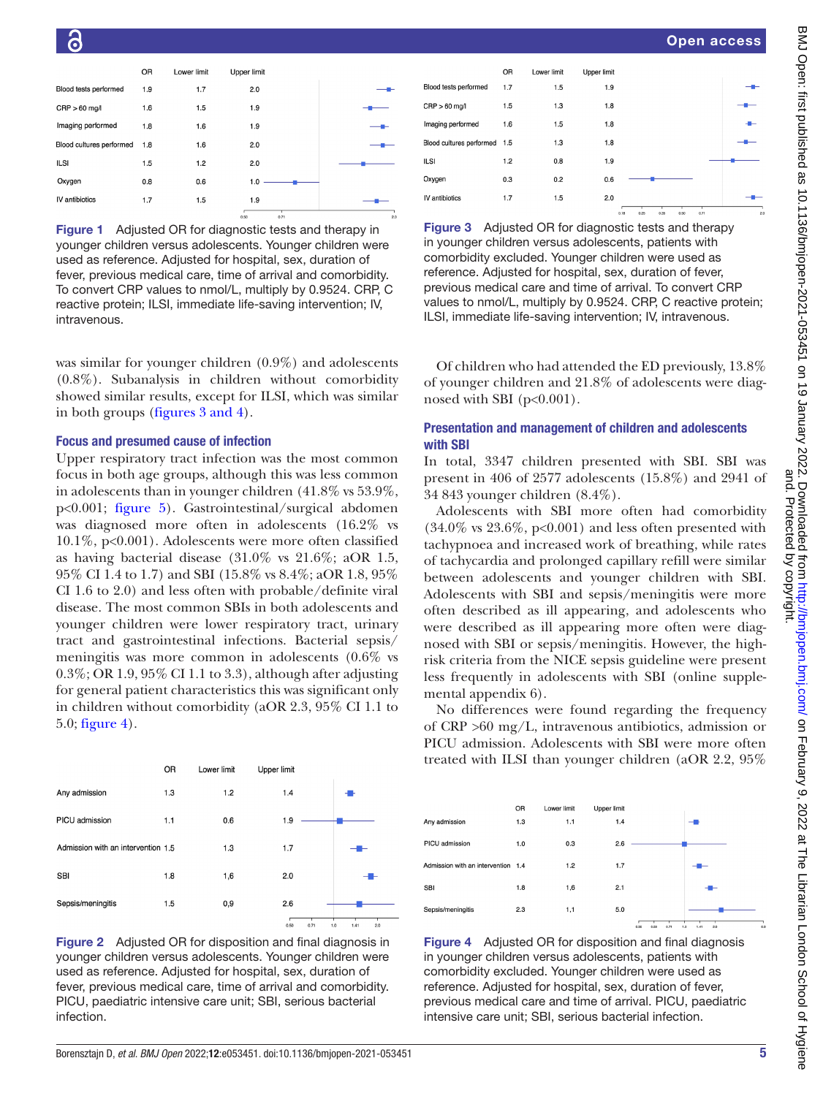|                          | OR  | Lower limit | <b>Upper limit</b> |     |
|--------------------------|-----|-------------|--------------------|-----|
| Blood tests performed    | 1.9 | 1.7         | 2.0                |     |
| $CRP > 60$ mg/l          | 1.6 | 1.5         | 1.9                |     |
| Imaging performed        | 1.8 | 1.6         | 1.9                |     |
| Blood cultures performed | 1.8 | 1.6         | 2.0                |     |
| <b>ILSI</b>              | 1.5 | 1.2         | 2.0                |     |
| Oxygen                   | 0.8 | 0.6         | 1.0                |     |
| IV antibiotics           | 1.7 | 1.5         | 1.9                |     |
|                          |     |             | 0.71<br>0.50       | 2.0 |

<span id="page-4-0"></span>Figure 1 Adjusted OR for diagnostic tests and therapy in younger children versus adolescents. Younger children were used as reference. Adjusted for hospital, sex, duration of fever, previous medical care, time of arrival and comorbidity. To convert CRP values to nmol/L, multiply by 0.9524. CRP, C reactive protein; ILSI, immediate life-saving intervention; IV, intravenous.

was similar for younger children (0.9%) and adolescents (0.8%). Subanalysis in children without comorbidity showed similar results, except for ILSI, which was similar in both groups (figures [3 and 4](#page-4-1)).

#### Focus and presumed cause of infection

Upper respiratory tract infection was the most common focus in both age groups, although this was less common in adolescents than in younger children (41.8% vs 53.9%, p<0.001; [figure](#page-5-0) 5). Gastrointestinal/surgical abdomen was diagnosed more often in adolescents (16.2% vs 10.1%, p<0.001). Adolescents were more often classified as having bacterial disease (31.0% vs 21.6%; aOR 1.5, 95% CI 1.4 to 1.7) and SBI (15.8% vs 8.4%; aOR 1.8, 95% CI 1.6 to 2.0) and less often with probable/definite viral disease. The most common SBIs in both adolescents and younger children were lower respiratory tract, urinary tract and gastrointestinal infections. Bacterial sepsis/ meningitis was more common in adolescents (0.6% vs 0.3%; OR 1.9, 95% CI 1.1 to 3.3), although after adjusting for general patient characteristics this was significant only in children without comorbidity (aOR 2.3, 95% CI 1.1 to 5.0; [figure](#page-4-2) 4).





|                              | <b>OR</b> | Lower limit | <b>Upper limit</b> |                                      |  |
|------------------------------|-----------|-------------|--------------------|--------------------------------------|--|
| Blood tests performed        | 1.7       | 1.5         | 1.9                |                                      |  |
| $CRP > 60$ mg/l              | 1.5       | 1.3         | 1.8                |                                      |  |
| Imaging performed            | 1.6       | 1.5         | 1.8                |                                      |  |
| Blood cultures performed 1.5 |           | 1.3         | 1.8                |                                      |  |
| <b>ILSI</b>                  | 1.2       | 0.8         | 1.9                |                                      |  |
| Oxygen                       | 0.3       | 0.2         | 0.6                |                                      |  |
| IV antibiotics               | 1.7       | 1.5         | 2.0                |                                      |  |
|                              |           |             |                    | 0.50<br>0.71<br>0.18<br>0.25<br>0.35 |  |

<span id="page-4-1"></span>Figure 3 Adjusted OR for diagnostic tests and therapy in younger children versus adolescents, patients with comorbidity excluded. Younger children were used as reference. Adjusted for hospital, sex, duration of fever, previous medical care and time of arrival. To convert CRP values to nmol/L, multiply by 0.9524. CRP, C reactive protein; ILSI, immediate life-saving intervention; IV, intravenous.

Of children who had attended the ED previously, 13.8% of younger children and 21.8% of adolescents were diagnosed with SBI  $(p<0.001)$ .

# Presentation and management of children and adolescents with SBI

In total, 3347 children presented with SBI. SBI was present in 406 of 2577 adolescents (15.8%) and 2941 of 34 843 younger children (8.4%).

Adolescents with SBI more often had comorbidity  $(34.0\% \text{ vs } 23.6\%, \text{ p} < 0.001)$  and less often presented with tachypnoea and increased work of breathing, while rates of tachycardia and prolonged capillary refill were similar between adolescents and younger children with SBI. Adolescents with SBI and sepsis/meningitis were more often described as ill appearing, and adolescents who were described as ill appearing more often were diagnosed with SBI or sepsis/meningitis. However, the highrisk criteria from the NICE sepsis guideline were present less frequently in adolescents with SBI ([online supple](https://dx.doi.org/10.1136/bmjopen-2021-053451)[mental appendix 6\)](https://dx.doi.org/10.1136/bmjopen-2021-053451).

No differences were found regarding the frequency of CRP >60 mg/L, intravenous antibiotics, admission or PICU admission. Adolescents with SBI were more often treated with ILSI than younger children (aOR 2.2, 95%

|                                    | OR  | Lower limit | Upper limit |    |
|------------------------------------|-----|-------------|-------------|----|
| Any admission                      | 1.3 | 1.1         | 1.4         | -- |
| PICU admission                     | 1.0 | 0.3         | 2.6         |    |
| Admission with an intervention 1.4 |     | 1.2         | 1.7         |    |
| <b>SBI</b>                         | 1.8 | 1,6         | 2.1         | -  |
| Sepsis/meningitis                  | 2.3 | 1,1         | 5.0         |    |

<span id="page-4-2"></span>Figure 4 Adjusted OR for disposition and final diagnosis in younger children versus adolescents, patients with comorbidity excluded. Younger children were used as reference. Adjusted for hospital, sex, duration of fever, previous medical care and time of arrival. PICU, paediatric intensive care unit; SBI, serious bacterial infection.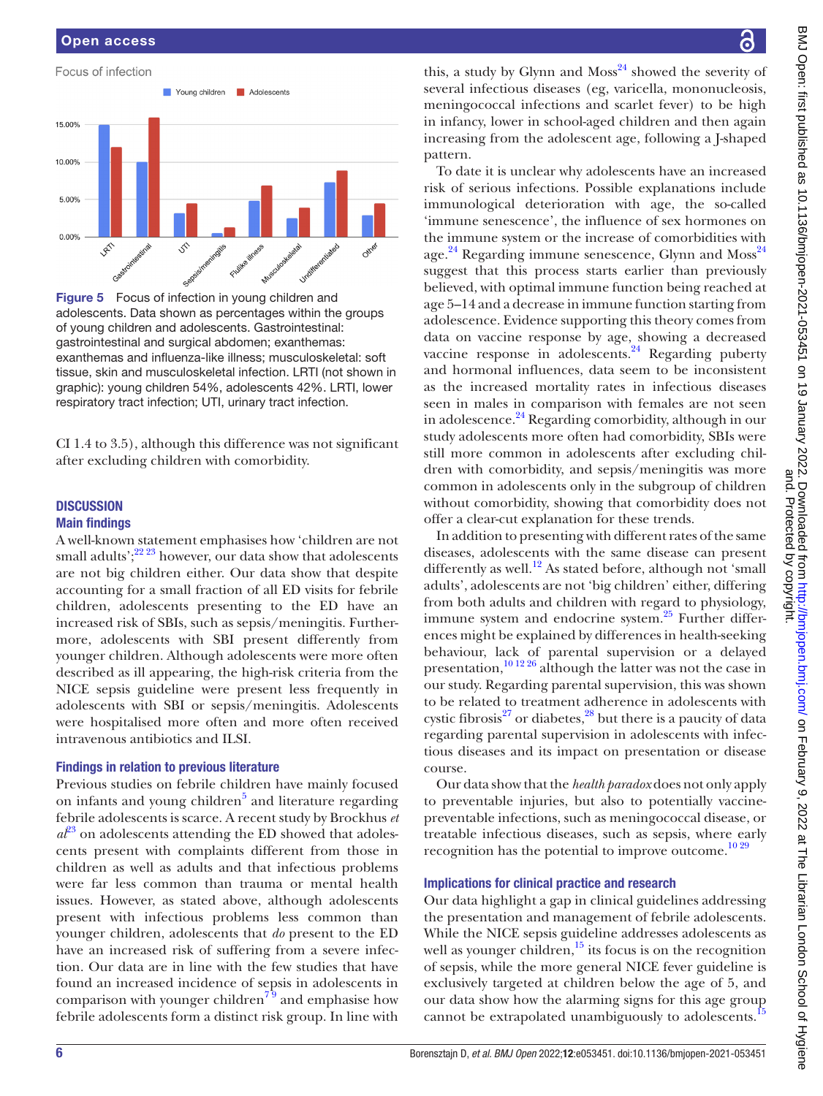

<span id="page-5-0"></span>Figure 5 Focus of infection in young children and adolescents. Data shown as percentages within the groups of young children and adolescents. Gastrointestinal: gastrointestinal and surgical abdomen; exanthemas: exanthemas and influenza-like illness; musculoskeletal: soft tissue, skin and musculoskeletal infection. LRTI (not shown in graphic): young children 54%, adolescents 42%. LRTI, lower respiratory tract infection; UTI, urinary tract infection.

CI 1.4 to 3.5), although this difference was not significant after excluding children with comorbidity.

# **DISCUSSION** Main findings

A well-known statement emphasises how 'children are not small adults'; $^{22\,23}$  however, our data show that adolescents are not big children either. Our data show that despite accounting for a small fraction of all ED visits for febrile children, adolescents presenting to the ED have an increased risk of SBIs, such as sepsis/meningitis. Furthermore, adolescents with SBI present differently from younger children. Although adolescents were more often described as ill appearing, the high-risk criteria from the NICE sepsis guideline were present less frequently in adolescents with SBI or sepsis/meningitis. Adolescents were hospitalised more often and more often received intravenous antibiotics and ILSI.

# Findings in relation to previous literature

Previous studies on febrile children have mainly focused on infants and young children<sup>[5](#page-7-2)</sup> and literature regarding febrile adolescents is scarce. A recent study by Brockhus *et*   $a<sup>{p_3}</sup>$  on adolescents attending the ED showed that adolescents present with complaints different from those in children as well as adults and that infectious problems were far less common than trauma or mental health issues. However, as stated above, although adolescents present with infectious problems less common than younger children, adolescents that *do* present to the ED have an increased risk of suffering from a severe infection. Our data are in line with the few studies that have found an increased incidence of sepsis in adolescents in comparison with younger children<sup> $79$ </sup> and emphasise how febrile adolescents form a distinct risk group. In line with

this, a study by Glynn and  $Moss^{24}$  showed the severity of several infectious diseases (eg, varicella, mononucleosis, meningococcal infections and scarlet fever) to be high in infancy, lower in school-aged children and then again increasing from the adolescent age, following a J-shaped pattern.

To date it is unclear why adolescents have an increased risk of serious infections. Possible explanations include immunological deterioration with age, the so-called 'immune senescence', the influence of sex hormones on the immune system or the increase of comorbidities with age.<sup>[24](#page-7-15)</sup> Regarding immune senescence, Glynn and Moss<sup>24</sup> suggest that this process starts earlier than previously believed, with optimal immune function being reached at age 5–14 and a decrease in immune function starting from adolescence. Evidence supporting this theory comes from data on vaccine response by age, showing a decreased vaccine response in adolescents. $^{24}$  Regarding puberty and hormonal influences, data seem to be inconsistent as the increased mortality rates in infectious diseases seen in males in comparison with females are not seen in adolescence. $24$  Regarding comorbidity, although in our study adolescents more often had comorbidity, SBIs were still more common in adolescents after excluding children with comorbidity, and sepsis/meningitis was more common in adolescents only in the subgroup of children without comorbidity, showing that comorbidity does not offer a clear-cut explanation for these trends.

In addition to presenting with different rates of the same diseases, adolescents with the same disease can present differently as well.<sup>12</sup> As stated before, although not 'small adults', adolescents are not 'big children' either, differing from both adults and children with regard to physiology, immune system and endocrine system. $^{25}$  Further differences might be explained by differences in health-seeking behaviour, lack of parental supervision or a delayed presentation[,10 12 26](#page-7-18) although the latter was not the case in our study. Regarding parental supervision, this was shown to be related to treatment adherence in adolescents with cystic fibrosis $^{27}$  $^{27}$  $^{27}$  or diabetes, $^{28}$  but there is a paucity of data regarding parental supervision in adolescents with infectious diseases and its impact on presentation or disease course.

Our data show that the *health paradox* does not only apply to preventable injuries, but also to potentially vaccinepreventable infections, such as meningococcal disease, or treatable infectious diseases, such as sepsis, where early recognition has the potential to improve outcome. $10\,29$ 

#### Implications for clinical practice and research

Our data highlight a gap in clinical guidelines addressing the presentation and management of febrile adolescents. While the NICE sepsis guideline addresses adolescents as well as younger children, $\frac{15}{15}$  its focus is on the recognition of sepsis, while the more general NICE fever guideline is exclusively targeted at children below the age of 5, and our data show how the alarming signs for this age group cannot be extrapolated unambiguously to adolescents.<sup>[15](#page-7-7)</sup>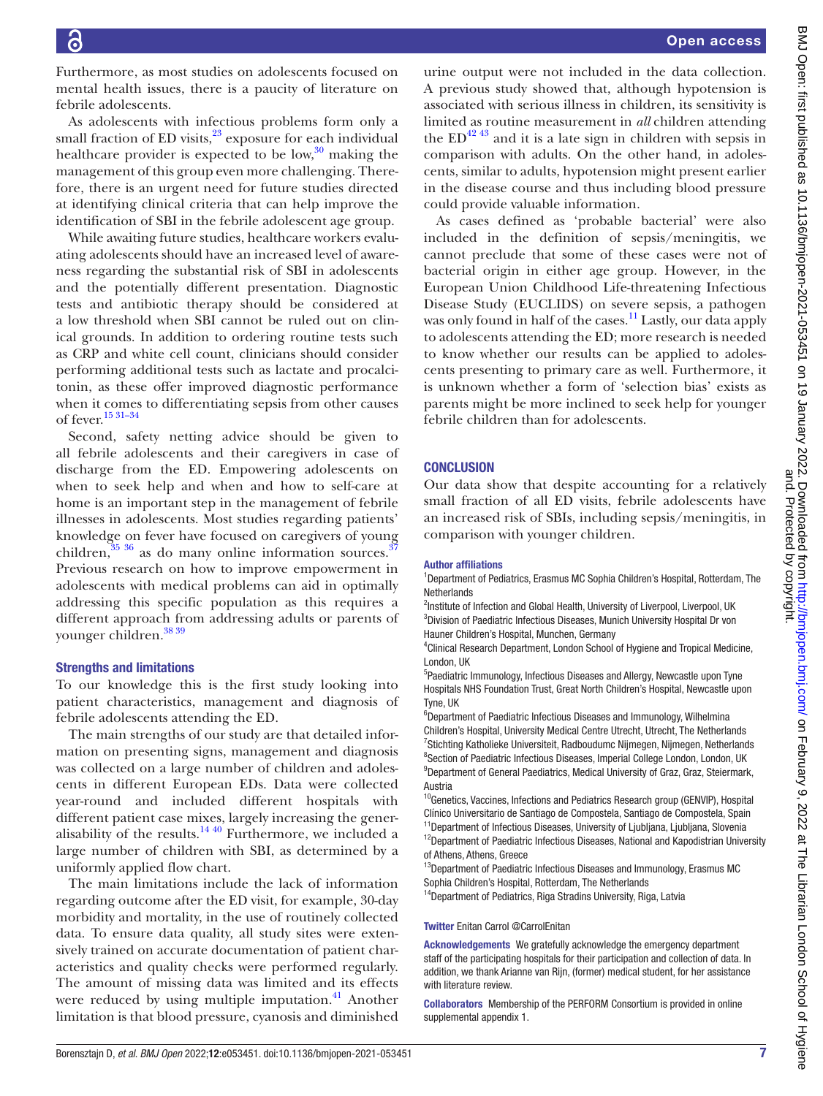Furthermore, as most studies on adolescents focused on mental health issues, there is a paucity of literature on febrile adolescents.

As adolescents with infectious problems form only a small fraction of ED visits, $23$  exposure for each individual healthcare provider is expected to be  $\text{low},^{30}$  $\text{low},^{30}$  $\text{low},^{30}$  making the management of this group even more challenging. Therefore, there is an urgent need for future studies directed at identifying clinical criteria that can help improve the identification of SBI in the febrile adolescent age group.

While awaiting future studies, healthcare workers evaluating adolescents should have an increased level of awareness regarding the substantial risk of SBI in adolescents and the potentially different presentation. Diagnostic tests and antibiotic therapy should be considered at a low threshold when SBI cannot be ruled out on clinical grounds. In addition to ordering routine tests such as CRP and white cell count, clinicians should consider performing additional tests such as lactate and procalcitonin, as these offer improved diagnostic performance when it comes to differentiating sepsis from other causes of fever[.15 31–34](#page-7-7)

Second, safety netting advice should be given to all febrile adolescents and their caregivers in case of discharge from the ED. Empowering adolescents on when to seek help and when and how to self-care at home is an important step in the management of febrile illnesses in adolescents. Most studies regarding patients' knowledge on fever have focused on caregivers of young children, $35\,36$  as do many online information sources.<sup>3</sup> Previous research on how to improve empowerment in adolescents with medical problems can aid in optimally addressing this specific population as this requires a different approach from addressing adults or parents of younger children.<sup>[38 39](#page-8-3)</sup>

#### Strengths and limitations

To our knowledge this is the first study looking into patient characteristics, management and diagnosis of febrile adolescents attending the ED.

The main strengths of our study are that detailed information on presenting signs, management and diagnosis was collected on a large number of children and adolescents in different European EDs. Data were collected year-round and included different hospitals with different patient case mixes, largely increasing the generalisability of the results.<sup>14 40</sup> Furthermore, we included a large number of children with SBI, as determined by a uniformly applied flow chart.

The main limitations include the lack of information regarding outcome after the ED visit, for example, 30-day morbidity and mortality, in the use of routinely collected data. To ensure data quality, all study sites were extensively trained on accurate documentation of patient characteristics and quality checks were performed regularly. The amount of missing data was limited and its effects were reduced by using multiple imputation. $41$  Another limitation is that blood pressure, cyanosis and diminished

BMJ Open: first published as 10.1136/bmjopen-2021-053451 on 19 January 2022. Downloaded from http://bmjopen.bmj.com/ on February 9, 2022 at The Librarian London School of Hygiene<br>BMJ Open: first published as 10.1136/bmjope BMJ Open: first published as 10.1136/bmjopen-2021-053451 on 19 January 2022. Downloaded from <http://bmjopen.bmj.com/> on February 9, 2022 at The Librarian London School of Hygiene and. Protected by copyright.

urine output were not included in the data collection. A previous study showed that, although hypotension is associated with serious illness in children, its sensitivity is limited as routine measurement in *all* children attending the  $ED^{42}$ <sup>43</sup> and it is a late sign in children with sepsis in comparison with adults. On the other hand, in adolescents, similar to adults, hypotension might present earlier in the disease course and thus including blood pressure could provide valuable information.

As cases defined as 'probable bacterial' were also included in the definition of sepsis/meningitis, we cannot preclude that some of these cases were not of bacterial origin in either age group. However, in the European Union Childhood Life-threatening Infectious Disease Study (EUCLIDS) on severe sepsis, a pathogen was only found in half of the cases.<sup>11</sup> Lastly, our data apply to adolescents attending the ED; more research is needed to know whether our results can be applied to adolescents presenting to primary care as well. Furthermore, it is unknown whether a form of 'selection bias' exists as parents might be more inclined to seek help for younger febrile children than for adolescents.

#### **CONCLUSION**

Our data show that despite accounting for a relatively small fraction of all ED visits, febrile adolescents have an increased risk of SBIs, including sepsis/meningitis, in comparison with younger children.

#### Author affiliations

<sup>1</sup>Department of Pediatrics, Erasmus MC Sophia Children's Hospital, Rotterdam, The Netherlands

<sup>2</sup>Institute of Infection and Global Health, University of Liverpool, Liverpool, UK <sup>3</sup>Division of Paediatric Infectious Diseases, Munich University Hospital Dr von Hauner Children's Hospital, Munchen, Germany

4 Clinical Research Department, London School of Hygiene and Tropical Medicine, London, UK

<sup>5</sup>Paediatric Immunology, Infectious Diseases and Allergy, Newcastle upon Tyne Hospitals NHS Foundation Trust, Great North Children's Hospital, Newcastle upon Tyne, UK

6 Department of Paediatric Infectious Diseases and Immunology, Wilhelmina Children's Hospital, University Medical Centre Utrecht, Utrecht, The Netherlands <sup>7</sup>Stichting Katholieke Universiteit, Radboudumc Nijmegen, Nijmegen, Netherlands <sup>8</sup>Section of Paediatric Infectious Diseases, Imperial College London, London, UK <sup>9</sup>Department of General Paediatrics, Medical University of Graz, Graz, Steiermark, Austria

<sup>10</sup>Genetics, Vaccines, Infections and Pediatrics Research group (GENVIP), Hospital Clínico Universitario de Santiago de Compostela, Santiago de Compostela, Spain <sup>11</sup>Department of Infectious Diseases, University of Ljubljana, Ljubljana, Slovenia <sup>12</sup>Department of Paediatric Infectious Diseases, National and Kapodistrian University of Athens, Athens, Greece

<sup>13</sup>Department of Paediatric Infectious Diseases and Immunology, Erasmus MC Sophia Children's Hospital, Rotterdam, The Netherlands

<sup>14</sup>Department of Pediatrics, Riga Stradins University, Riga, Latvia

#### Twitter Enitan Carrol [@CarrolEnitan](https://twitter.com/CarrolEnitan)

Acknowledgements We gratefully acknowledge the emergency department staff of the participating hospitals for their participation and collection of data. In addition, we thank Arianne van Rijn, (former) medical student, for her assistance with literature review.

Collaborators Membership of the PERFORM Consortium is provided in online supplemental appendix 1.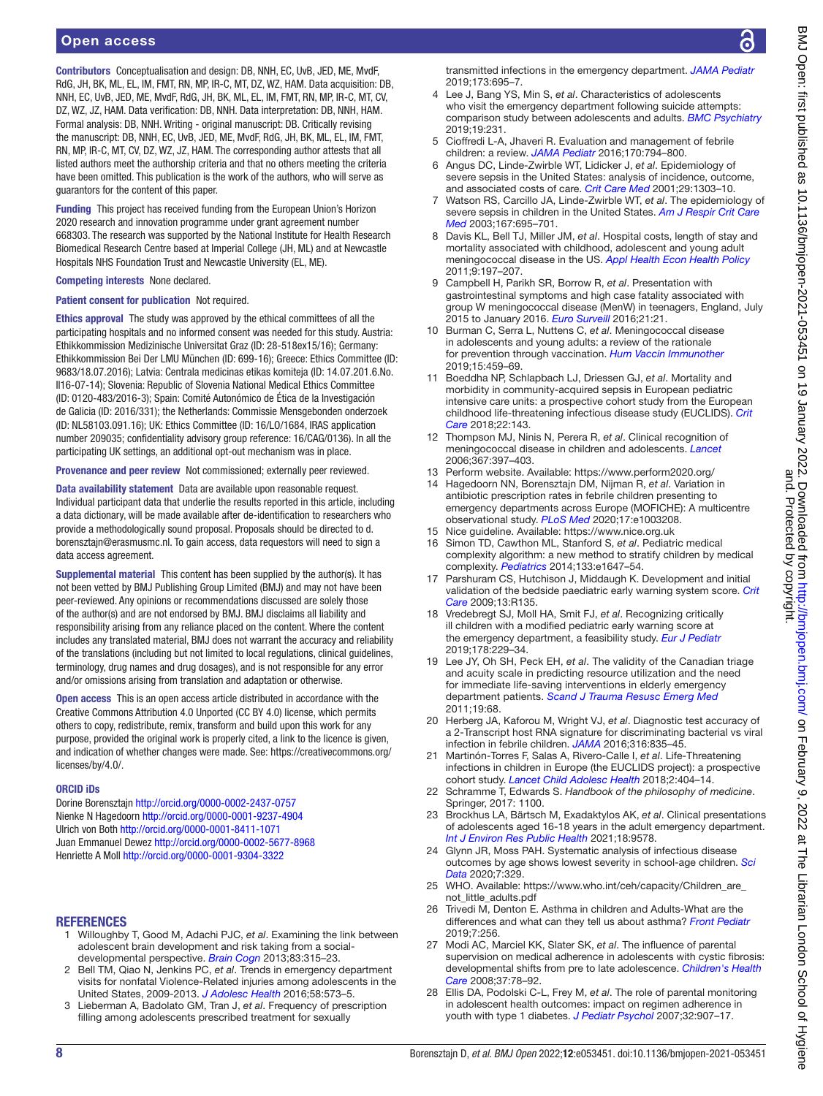Contributors Conceptualisation and design: DB, NNH, EC, UvB, JED, ME, MvdF, RdG, JH, BK, ML, EL, IM, FMT, RN, MP, IR-C, MT, DZ, WZ, HAM. Data acquisition: DB, NNH, EC, UvB, JED, ME, MvdF, RdG, JH, BK, ML, EL, IM, FMT, RN, MP, IR-C, MT, CV, DZ, WZ, JZ, HAM. Data verification: DB, NNH. Data interpretation: DB, NNH, HAM. Formal analysis: DB, NNH. Writing - original manuscript: DB. Critically revising the manuscript: DB, NNH, EC, UvB, JED, ME, MvdF, RdG, JH, BK, ML, EL, IM, FMT, RN, MP, IR-C, MT, CV, DZ, WZ, JZ, HAM. The corresponding author attests that all listed authors meet the authorship criteria and that no others meeting the criteria have been omitted. This publication is the work of the authors, who will serve as guarantors for the content of this paper.

Funding This project has received funding from the European Union's Horizon 2020 research and innovation programme under grant agreement number 668303. The research was supported by the National Institute for Health Research Biomedical Research Centre based at Imperial College (JH, ML) and at Newcastle Hospitals NHS Foundation Trust and Newcastle University (EL, ME).

Competing interests None declared.

#### Patient consent for publication Not required.

Ethics approval The study was approved by the ethical committees of all the participating hospitals and no informed consent was needed for this study. Austria: Ethikkommission Medizinische Universitat Graz (ID: 28-518ex15/16); Germany: Ethikkommission Bei Der LMU München (ID: 699-16); Greece: Ethics Committee (ID: 9683/18.07.2016); Latvia: Centrala medicinas etikas komiteja (ID: 14.07.201.6.No. Il16-07-14); Slovenia: Republic of Slovenia National Medical Ethics Committee (ID: 0120-483/2016-3); Spain: Comité Autonómico de Ética de la Investigación de Galicia (ID: 2016/331); the Netherlands: Commissie Mensgebonden onderzoek (ID: NL58103.091.16); UK: Ethics Committee (ID: 16/LO/1684, IRAS application number 209035; confidentiality advisory group reference: 16/CAG/0136). In all the participating UK settings, an additional opt-out mechanism was in place.

Provenance and peer review Not commissioned; externally peer reviewed.

Data availability statement Data are available upon reasonable request. Individual participant data that underlie the results reported in this article, including a data dictionary, will be made available after de-identification to researchers who provide a methodologically sound proposal. Proposals should be directed to d. borensztajn@erasmusmc.nl. To gain access, data requestors will need to sign a data access agreement.

Supplemental material This content has been supplied by the author(s). It has not been vetted by BMJ Publishing Group Limited (BMJ) and may not have been peer-reviewed. Any opinions or recommendations discussed are solely those of the author(s) and are not endorsed by BMJ. BMJ disclaims all liability and responsibility arising from any reliance placed on the content. Where the content includes any translated material, BMJ does not warrant the accuracy and reliability of the translations (including but not limited to local regulations, clinical guidelines, terminology, drug names and drug dosages), and is not responsible for any error and/or omissions arising from translation and adaptation or otherwise.

Open access This is an open access article distributed in accordance with the Creative Commons Attribution 4.0 Unported (CC BY 4.0) license, which permits others to copy, redistribute, remix, transform and build upon this work for any purpose, provided the original work is properly cited, a link to the licence is given, and indication of whether changes were made. See: [https://creativecommons.org/](https://creativecommons.org/licenses/by/4.0/) [licenses/by/4.0/.](https://creativecommons.org/licenses/by/4.0/)

#### ORCID iDs

Dorine Borensztajn<http://orcid.org/0000-0002-2437-0757> Nienke N Hagedoorn<http://orcid.org/0000-0001-9237-4904> Ulrich von Both<http://orcid.org/0000-0001-8411-1071> Juan Emmanuel Dewez <http://orcid.org/0000-0002-5677-8968> Henriette A Moll<http://orcid.org/0000-0001-9304-3322>

#### **REFERENCES**

- <span id="page-7-0"></span>1 Willoughby T, Good M, Adachi PJC, *et al*. Examining the link between adolescent brain development and risk taking from a socialdevelopmental perspective. *[Brain Cogn](http://dx.doi.org/10.1016/j.bandc.2013.09.008)* 2013;83:315–23.
- <span id="page-7-1"></span>2 Bell TM, Qiao N, Jenkins PC, *et al*. Trends in emergency department visits for nonfatal Violence-Related injuries among adolescents in the United States, 2009-2013. *[J Adolesc Health](http://dx.doi.org/10.1016/j.jadohealth.2015.12.016)* 2016;58:573–5.
- 3 Lieberman A, Badolato GM, Tran J, *et al*. Frequency of prescription filling among adolescents prescribed treatment for sexually

transmitted infections in the emergency department. *[JAMA Pediatr](http://dx.doi.org/10.1001/jamapediatrics.2019.1263)* 2019;173:695–7.

- Lee J, Bang YS, Min S, et al. Characteristics of adolescents who visit the emergency department following suicide attempts: comparison study between adolescents and adults. *[BMC Psychiatry](http://dx.doi.org/10.1186/s12888-019-2213-5)* 2019;19:231.
- <span id="page-7-2"></span>5 Cioffredi L-A, Jhaveri R. Evaluation and management of febrile children: a review. *[JAMA Pediatr](http://dx.doi.org/10.1001/jamapediatrics.2016.0596)* 2016;170:794–800.
- <span id="page-7-3"></span>6 Angus DC, Linde-Zwirble WT, Lidicker J, *et al*. Epidemiology of severe sepsis in the United States: analysis of incidence, outcome, and associated costs of care. *[Crit Care Med](http://dx.doi.org/10.1097/00003246-200107000-00002)* 2001;29:1303–10.
- <span id="page-7-14"></span>7 Watson RS, Carcillo JA, Linde-Zwirble WT, *et al*. The epidemiology of severe sepsis in children in the United States. *[Am J Respir Crit Care](http://dx.doi.org/10.1164/rccm.200207-682OC)  [Med](http://dx.doi.org/10.1164/rccm.200207-682OC)* 2003;167:695–701.
- 8 Davis KL, Bell TJ, Miller JM, *et al*. Hospital costs, length of stay and mortality associated with childhood, adolescent and young adult meningococcal disease in the US. *[Appl Health Econ Health Policy](http://dx.doi.org/10.2165/11587330-000000000-00000)* 2011;9:197–207.
- <span id="page-7-4"></span>9 Campbell H, Parikh SR, Borrow R, *et al*. Presentation with gastrointestinal symptoms and high case fatality associated with group W meningococcal disease (MenW) in teenagers, England, July 2015 to January 2016. *[Euro Surveill](http://dx.doi.org/10.2807/1560-7917.ES.2016.21.12.30175)* 2016;21:21.
- <span id="page-7-18"></span>10 Burman C, Serra L, Nuttens C, *et al*. Meningococcal disease in adolescents and young adults: a review of the rationale for prevention through vaccination. *[Hum Vaccin Immunother](http://dx.doi.org/10.1080/21645515.2018.1528831)* 2019;15:459–69.
- <span id="page-7-21"></span>11 Boeddha NP, Schlapbach LJ, Driessen GJ, *et al*. Mortality and morbidity in community-acquired sepsis in European pediatric intensive care units: a prospective cohort study from the European childhood life-threatening infectious disease study (EUCLIDS). *[Crit](http://dx.doi.org/10.1186/s13054-018-2052-7)  [Care](http://dx.doi.org/10.1186/s13054-018-2052-7)* 2018;22:143.
- <span id="page-7-16"></span>12 Thompson MJ, Ninis N, Perera R, *et al*. Clinical recognition of meningococcal disease in children and adolescents. *[Lancet](http://dx.doi.org/10.1016/S0140-6736(06)67932-4)* 2006;367:397–403.
- <span id="page-7-5"></span>13 Perform website. Available: <https://www.perform2020.org/>
- <span id="page-7-6"></span>14 Hagedoorn NN, Borensztajn DM, Nijman R, *et al*. Variation in antibiotic prescription rates in febrile children presenting to emergency departments across Europe (MOFICHE): A multicentre observational study. *[PLoS Med](http://dx.doi.org/10.1371/journal.pmed.1003208)* 2020;17:e1003208.
- <span id="page-7-7"></span>15 Nice guideline. Available: <https://www.nice.org.uk>
- <span id="page-7-8"></span>16 Simon TD, Cawthon ML, Stanford S, *et al*. Pediatric medical complexity algorithm: a new method to stratify children by medical complexity. *[Pediatrics](http://dx.doi.org/10.1542/peds.2013-3875)* 2014;133:e1647–54.
- <span id="page-7-9"></span>17 Parshuram CS, Hutchison J, Middaugh K. Development and initial validation of the bedside paediatric early warning system score. *[Crit](http://dx.doi.org/10.1186/cc7998)  [Care](http://dx.doi.org/10.1186/cc7998)* 2009;13:R135.
- <span id="page-7-10"></span>18 Vredebregt SJ, Moll HA, Smit FJ, *et al*. Recognizing critically ill children with a modified pediatric early warning score at the emergency department, a feasibility study. *[Eur J Pediatr](http://dx.doi.org/10.1007/s00431-018-3285-9)* 2019;178:229–34.
- <span id="page-7-11"></span>19 Lee JY, Oh SH, Peck EH, *et al*. The validity of the Canadian triage and acuity scale in predicting resource utilization and the need for immediate life-saving interventions in elderly emergency department patients. *[Scand J Trauma Resusc Emerg Med](http://dx.doi.org/10.1186/1757-7241-19-68)* 2011;19:68.
- 20 Herberg JA, Kaforou M, Wright VJ, *et al*. Diagnostic test accuracy of a 2-Transcript host RNA signature for discriminating bacterial vs viral infection in febrile children. *[JAMA](http://dx.doi.org/10.1001/jama.2016.11236)* 2016;316:835–45.
- 21 Martinón-Torres F, Salas A, Rivero-Calle I, *et al*. Life-Threatening infections in children in Europe (the EUCLIDS project): a prospective cohort study. *[Lancet Child Adolesc Health](http://dx.doi.org/10.1016/S2352-4642(18)30113-5)* 2018;2:404–14.
- <span id="page-7-12"></span>22 Schramme T, Edwards S. *Handbook of the philosophy of medicine*. Springer, 2017: 1100.
- <span id="page-7-13"></span>23 Brockhus LA, Bärtsch M, Exadaktylos AK, *et al*. Clinical presentations of adolescents aged 16-18 years in the adult emergency department. *[Int J Environ Res Public Health](http://dx.doi.org/10.3390/ijerph18189578)* 2021;18:9578.
- <span id="page-7-15"></span>24 Glynn JR, Moss PAH. Systematic analysis of infectious disease outcomes by age shows lowest severity in school-age children. *[Sci](http://dx.doi.org/10.1038/s41597-020-00668-y)  [Data](http://dx.doi.org/10.1038/s41597-020-00668-y)* 2020;7:329.
- <span id="page-7-17"></span>25 WHO. Available: [https://www.who.int/ceh/capacity/Children\\_are\\_](https://www.who.int/ceh/capacity/Children_are_not_little_adults.pdf) [not\\_little\\_adults.pdf](https://www.who.int/ceh/capacity/Children_are_not_little_adults.pdf)
- 26 Trivedi M, Denton E. Asthma in children and Adults-What are the differences and what can they tell us about asthma? *[Front Pediatr](http://dx.doi.org/10.3389/fped.2019.00256)* 2019;7:256.
- <span id="page-7-19"></span>27 Modi AC, Marciel KK, Slater SK, *et al*. The influence of parental supervision on medical adherence in adolescents with cystic fibrosis: developmental shifts from pre to late adolescence. *[Children's Health](http://dx.doi.org/10.1080/02739610701766925)  [Care](http://dx.doi.org/10.1080/02739610701766925)* 2008;37:78–92.
- <span id="page-7-20"></span>28 Ellis DA, Podolski C-L, Frey M, *et al*. The role of parental monitoring in adolescent health outcomes: impact on regimen adherence in youth with type 1 diabetes. *[J Pediatr Psychol](http://dx.doi.org/10.1093/jpepsy/jsm009)* 2007;32:907–17.